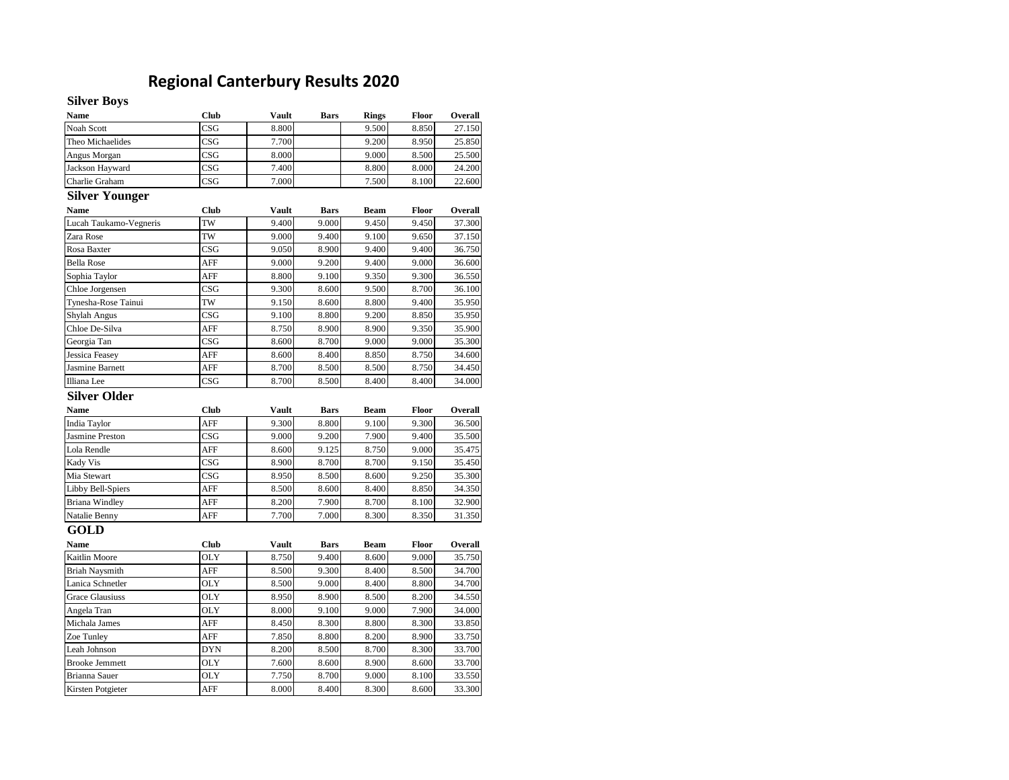## **Regional Canterbury Results 2020**

## **Silver Boys**

| <b>Name</b>            | <b>Club</b> | Vault        | Bars        | <b>Rings</b> | Floor | Overall |
|------------------------|-------------|--------------|-------------|--------------|-------|---------|
| Noah Scott             | CSG         | 8.800        |             | 9.500        | 8.850 | 27.150  |
| Theo Michaelides       | CSG         | 7.700        |             | 9.200        | 8.950 | 25.850  |
| Angus Morgan           | CSG         | 8.000        |             | 9.000        | 8.500 | 25.500  |
| Jackson Hayward        | CSG         | 7.400        |             | 8.800        | 8.000 | 24.200  |
| Charlie Graham         | CSG         | 7.000        |             | 7.500        | 8.100 | 22.600  |
| <b>Silver Younger</b>  |             |              |             |              |       |         |
| <b>Name</b>            | <b>Club</b> | <b>Vault</b> | <b>Bars</b> | <b>Beam</b>  | Floor | Overall |
| Lucah Taukamo-Vegneris | TW          | 9.400        | 9.000       | 9.450        | 9.450 | 37.300  |
| Zara Rose              | TW          | 9.000        | 9.400       | 9.100        | 9.650 | 37.150  |
| Rosa Baxter            | CSG         | 9.050        | 8.900       | 9.400        | 9.400 | 36.750  |
| <b>Bella Rose</b>      | AFF         | 9.000        | 9.200       | 9.400        | 9.000 | 36.600  |
| Sophia Taylor          | AFF         | 8.800        | 9.100       | 9.350        | 9.300 | 36.550  |
| Chloe Jorgensen        | CSG         | 9.300        | 8.600       | 9.500        | 8.700 | 36.100  |
| Tynesha-Rose Tainui    | TW          | 9.150        | 8.600       | 8.800        | 9.400 | 35.950  |
| Shylah Angus           | CSG         | 9.100        | 8.800       | 9.200        | 8.850 | 35.950  |
| Chloe De-Silva         | AFF         | 8.750        | 8.900       | 8.900        | 9.350 | 35.900  |
| Georgia Tan            | CSG         | 8.600        | 8.700       | 9.000        | 9.000 | 35.300  |
| Jessica Feasey         | AFF         | 8.600        | 8.400       | 8.850        | 8.750 | 34.600  |
| Jasmine Barnett        | AFF         | 8.700        | 8.500       | 8.500        | 8.750 | 34.450  |
| Illiana Lee            | CSG         | 8.700        | 8.500       | 8.400        | 8.400 | 34.000  |
| Silver Older           |             |              |             |              |       |         |
| <b>Name</b>            | <b>Club</b> | Vault        | <b>Bars</b> | Beam         | Floor | Overall |
| <b>India Taylor</b>    | AFF         | 9.300        | 8.800       | 9.100        | 9.300 | 36.500  |
| <b>Jasmine Preston</b> | CSG         | 9.000        | 9.200       | 7.900        | 9.400 | 35.500  |
| Lola Rendle            | AFF         | 8.600        | 9.125       | 8.750        | 9.000 | 35.475  |
| Kady Vis               | CSG         | 8.900        | 8.700       | 8.700        | 9.150 | 35.450  |
| Mia Stewart            | CSG         | 8.950        | 8.500       | 8.600        | 9.250 | 35.300  |
| Libby Bell-Spiers      | AFF         | 8.500        | 8.600       | 8.400        | 8.850 | 34.350  |
| <b>Briana Windley</b>  | AFF         | 8.200        | 7.900       | 8.700        | 8.100 | 32.900  |
| Natalie Benny          | AFF         | 7.700        | 7.000       | 8.300        | 8.350 | 31.350  |
| GOLD                   |             |              |             |              |       |         |
| <b>Name</b>            | <b>Club</b> | Vault        | <b>Bars</b> | <b>Beam</b>  | Floor | Overall |
| Kaitlin Moore          | OLY         | 8.750        | 9.400       | 8.600        | 9.000 | 35.750  |
| <b>Briah Naysmith</b>  | AFF         | 8.500        | 9.300       | 8.400        | 8.500 | 34.700  |
| Lanica Schnetler       | <b>OLY</b>  | 8.500        | 9.000       | 8.400        | 8.800 | 34.700  |
| <b>Grace Glausiuss</b> | <b>OLY</b>  | 8.950        | 8.900       | 8.500        | 8.200 | 34.550  |
| Angela Tran            | <b>OLY</b>  | 8.000        | 9.100       | 9.000        | 7.900 | 34.000  |
| Michala James          | AFF         | 8.450        | 8.300       | 8.800        | 8.300 | 33.850  |
| Zoe Tunley             | AFF         | 7.850        | 8.800       | 8.200        | 8.900 | 33.750  |
| Leah Johnson           | <b>DYN</b>  | 8.200        | 8.500       | 8.700        | 8.300 | 33.700  |
| <b>Brooke Jemmett</b>  | <b>OLY</b>  | 7.600        | 8.600       | 8.900        | 8.600 | 33.700  |
| Brianna Sauer          | <b>OLY</b>  | 7.750        | 8.700       | 9.000        | 8.100 | 33.550  |
| Kirsten Potgieter      | AFF         | 8.000        | 8.400       | 8.300        | 8.600 | 33.300  |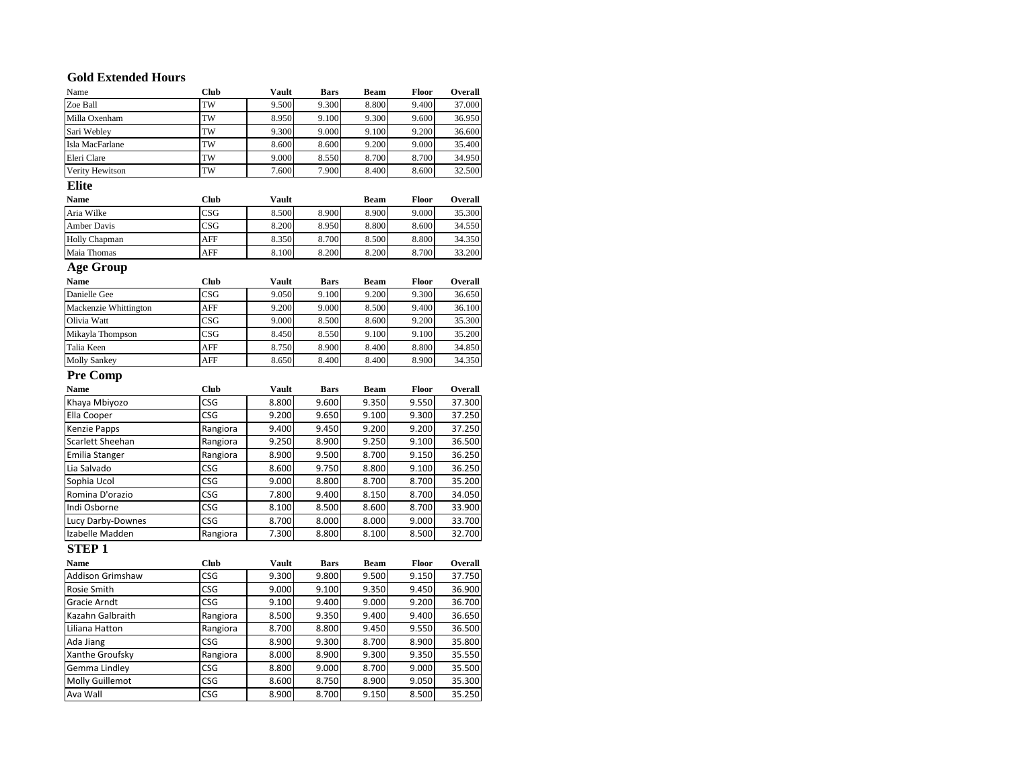## **Gold Extended Hours**

| GOIU EXIEIIUEU HOUFS<br>Name | Club        | Vault        | <b>Bars</b> | Beam        | Floor | Overall |
|------------------------------|-------------|--------------|-------------|-------------|-------|---------|
| Zoe Ball                     | TW          | 9.500        | 9.300       | 8.800       | 9.400 | 37.000  |
| Milla Oxenham                | TW          | 8.950        | 9.100       | 9.300       | 9.600 | 36.950  |
| Sari Webley                  | TW          | 9.300        | 9.000       | 9.100       | 9.200 | 36.600  |
| Isla MacFarlane              | TW          | 8.600        | 8.600       | 9.200       | 9.000 | 35.400  |
| Eleri Clare                  | TW          | 9.000        | 8.550       | 8.700       | 8.700 | 34.950  |
| Verity Hewitson              | TW          | 7.600        | 7.900       | 8.400       | 8.600 | 32.500  |
|                              |             |              |             |             |       |         |
| <b>Elite</b>                 |             |              |             |             |       |         |
| <b>Name</b>                  | Club        | <b>Vault</b> |             | <b>Beam</b> | Floor | Overall |
| Aria Wilke                   | CSG         | 8.500        | 8.900       | 8.900       | 9.000 | 35.300  |
| <b>Amber Davis</b>           | CSG         | 8.200        | 8.950       | 8.800       | 8.600 | 34.550  |
| <b>Holly Chapman</b>         | AFF         | 8.350        | 8.700       | 8.500       | 8.800 | 34.350  |
| Maia Thomas                  | AFF         | 8.100        | 8.200       | 8.200       | 8.700 | 33.200  |
| <b>Age Group</b>             |             |              |             |             |       |         |
| <b>Name</b>                  | Club        | <b>Vault</b> | <b>Bars</b> | <b>Beam</b> | Floor | Overall |
| Danielle Gee                 | CSG         | 9.050        | 9.100       | 9.200       | 9.300 | 36.650  |
| Mackenzie Whittington        | AFF         | 9.200        | 9.000       | 8.500       | 9.400 | 36.100  |
| Olivia Watt                  | CSG         | 9.000        | 8.500       | 8.600       | 9.200 | 35.300  |
| Mikayla Thompson             | CSG         | 8.450        | 8.550       | 9.100       | 9.100 | 35.200  |
| Talia Keen                   | AFF         | 8.750        | 8.900       | 8.400       | 8.800 | 34.850  |
| <b>Molly Sankey</b>          | AFF         | 8.650        | 8.400       | 8.400       | 8.900 | 34.350  |
| <b>Pre Comp</b>              |             |              |             |             |       |         |
| <b>Name</b>                  | <b>Club</b> | <b>Vault</b> | <b>Bars</b> | Beam        | Floor | Overall |
| Khaya Mbiyozo                | CSG         | 8.800        | 9.600       | 9.350       | 9.550 | 37.300  |
| Ella Cooper                  | CSG         | 9.200        | 9.650       | 9.100       | 9.300 | 37.250  |
| <b>Kenzie Papps</b>          | Rangiora    | 9.400        | 9.450       | 9.200       | 9.200 | 37.250  |
| Scarlett Sheehan             | Rangiora    | 9.250        | 8.900       | 9.250       | 9.100 | 36.500  |
| <b>Emilia Stanger</b>        | Rangiora    | 8.900        | 9.500       | 8.700       | 9.150 | 36.250  |
| Lia Salvado                  | CSG         | 8.600        | 9.750       | 8.800       | 9.100 | 36.250  |
| Sophia Ucol                  | CSG         | 9.000        | 8.800       | 8.700       | 8.700 | 35.200  |
| Romina D'orazio              | CSG         | 7.800        | 9.400       | 8.150       | 8.700 | 34.050  |
| Indi Osborne                 | CSG         | 8.100        | 8.500       | 8.600       | 8.700 | 33.900  |
| Lucy Darby-Downes            | CSG         | 8.700        | 8.000       | 8.000       | 9.000 | 33.700  |
| Izabelle Madden              | Rangiora    | 7.300        | 8.800       | 8.100       | 8.500 | 32.700  |
| <b>STEP1</b>                 |             |              |             |             |       |         |
| Name                         | <b>Club</b> | <b>Vault</b> | <b>Bars</b> | Beam        | Floor | Overall |
| <b>Addison Grimshaw</b>      | CSG         | 9.300        | 9.800       | 9.500       | 9.150 | 37.750  |
| Rosie Smith                  | CSG         | 9.000        | 9.100       | 9.350       | 9.450 | 36.900  |
| Gracie Arndt                 | CSG         | 9.100        | 9.400       | 9.000       | 9.200 | 36.700  |
| Kazahn Galbraith             | Rangiora    | 8.500        | 9.350       | 9.400       | 9.400 | 36.650  |
| Liliana Hatton               | Rangiora    | 8.700        | 8.800       | 9.450       | 9.550 | 36.500  |
| Ada Jiang                    | CSG         | 8.900        | 9.300       | 8.700       | 8.900 | 35.800  |
| Xanthe Groufsky              | Rangiora    | 8.000        | 8.900       | 9.300       | 9.350 | 35.550  |
|                              |             |              |             |             |       | 35.500  |
| Gemma Lindley                | CSG         | 8.800        | 9.000       | 8.700       | 9.000 |         |
| Molly Guillemot              | CSG         | 8.600        | 8.750       | 8.900       | 9.050 | 35.300  |